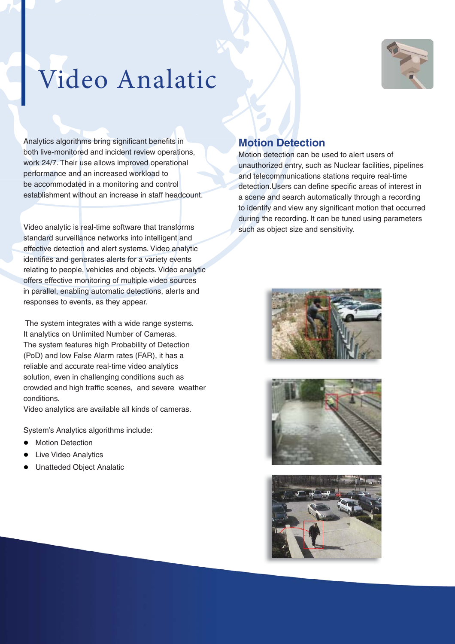

## Video Analatic

Analytics algorithms bring significant benefits in both live-monitored and incident review operations, work 24/7. Their use allows improved operational performance and an increased workload to be accommodated in a monitoring and control establishment without an increase in staff headcount.

Video analytic is real-time software that transforms standard surveillance networks into intelligent and effective detection and alert systems. Video analytic identifies and generates alerts for a variety events relating to people, vehicles and objects. Video analytic offers effective monitoring of multiple video sources in parallel, enabling automatic detections, alerts and responses to events, as they appear.

 The system integrates with a wide range systems. It analytics on Unlimited Number of Cameras. The system features high Probability of Detection (PoD) and low False Alarm rates (FAR), it has a reliable and accurate real-time video analytics solution, even in challenging conditions such as crowded and high traffic scenes, and severe weather conditions.

Video analytics are available all kinds of cameras.

System's Analytics algorithms include:

- **•** Motion Detection
- Live Video Analytics
- **•** Unatteded Object Analatic

## **Motion Detection**

Motion detection can be used to alert users of unauthorized entry, such as Nuclear facilities, pipelines and telecommunications stations require real-time detection.Users can define specific areas of interest in a scene and search automatically through a recording to identify and view any significant motion that occurred during the recording. It can be tuned using parameters such as object size and sensitivity.